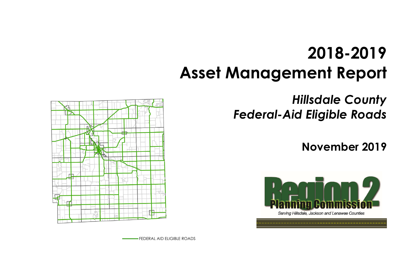# **2018-2019 Asset Management Report**

# *Hillsdale County Federal-Aid Eligible Roads*





# **November 2019**

FEDERAL AID ELIGIBLE ROADS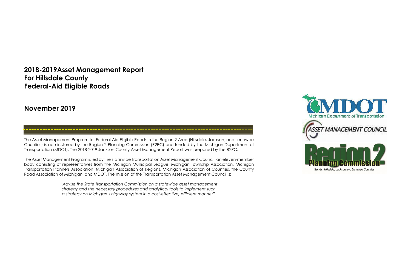## **2018-2019Asset Management Report For Hillsdale County Federal-Aid Eligible Roads**

### **November 2019**

The Asset Management Program for Federal-Aid Eligible Roads in the Region 2 Area (Hillsdale, Jackson, and Lenawee Counties) is administered by the Region 2 Planning Commission (R2PC) and funded by the Michigan Department of Transportation (MDOT). The 2018-2019 Jackson County Asset Management Report was prepared by the R2PC.

The Asset Management Program is led by the statewide Transportation Asset Management Council, an eleven-member body consisting of representatives from the Michigan Municipal League, Michigan Township Association, Michigan Transportation Planners Association, Michigan Association of Regions, Michigan Association of Counties, the County Road Association of Michigan, and MDOT. The mission of the Transportation Asset Management Council is:

> *"Advise the State Transportation Commission on a statewide asset management strategy and the necessary procedures and analytical tools to implement such a strategy on Michigan's highway system in a cost-effective, efficient manner".*

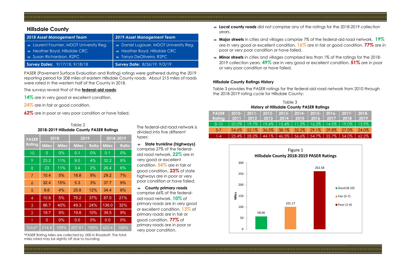PASER (Pavement Surface Evaluation and Rating) ratings were gathered during the 2019 reporting period for 208 miles of eastern Hillsdale County roads. About 215 miles of roads were rated in the western half of the County in 2018.

The surveys reveal that of the **federal-aid roads**:

- 14% are in very good or excellent condition.
- **24%** are in fair or good condition.

**62%** are in poor or very poor condition or have failed.

The federal-aid road network is divided into five different types:

L.

- **State trunkline (highways)**  comprise 27% of the federalaid road network. **22%** are in very good or excellent condition. **54%** are in fair or good condition. **23%** of state highways are in poor or very poor condition or have failed.
- **County primary roads** comprise 66% of the federalaid road network. **10%** of primary roads are in very good or excellent condition. **13%** of primary roads are in fair or good condition. **77%** of primary roads are in poor or very poor condition.

are in very good or excellent condition. **16%** are in fair or good condition. **77%** are in

- **Local county roads** did not comprise any of the ratings for the 2018-2019 collection years.
- **Major streets** in cities and villages comprise 7% of the federal-aid road network. **19%** poor or very poor condition or have failed.
- **Minor streets** in cities and villages comprised less than 1% of the ratings for the 2018- 2019 collection years. **49%** are in very good or excellent condition. **51%** are in poor or very poor condition or have failed.

### **Hillsdale County Ratings History**

Table 3 provides the PASER ratings for the federal-aid road network from 2010 through the 2018-2019 rating cycle for Hillsdale County:

#### Table 2 **2018-2019 Hillsdale County PASER Ratings**

| <b>PASER</b>   | 2018           |              | 2019         |              | 2018-2019    |              |  |
|----------------|----------------|--------------|--------------|--------------|--------------|--------------|--|
| Rating         | <b>Miles</b>   | <b>Miles</b> | <b>Miles</b> | <b>Ratio</b> | <b>Miles</b> | <b>Ratio</b> |  |
| 10             | $\overline{0}$ | 0%           | 0.1          | 0%           | 0.1          | $0\%$        |  |
| 9              | 23.2           | 11%          | 9.0          | 4%           | 32.2         | 8%           |  |
| 8              | 23             | 11%          | 3.4          | 2%           | 26.4         | 6%           |  |
| 7              | 10.4           | 5%           | 18.8         | 9%           | 29.2         | 7%           |  |
| 6              | 32.4           | 15%          | 5.3          | 3%           | 37.7         | 9%           |  |
| 5              | 8.6            | 4%           | 25.8         | 12%          | 34.4         | 8%           |  |
| $\overline{4}$ | 10.8           | 5%           | 76.2         | 37%          | 87.0         | 21%          |  |
| 3              | 86.7           | 40%          | 49.3         | 24%          | 136.0        | 32%          |  |
| $\overline{2}$ | 19.7           | 9%           | 19.8         | 10%          | 39.5         | 9%           |  |
| $\overline{1}$ | $\overline{0}$ | 0%           | 0.0          | 0%           | 0.0          | 0%           |  |
| Total*         | 214.8          | 100%         | 207.61       | 100%         | 422.4        | 100%         |  |

### **Hillsdale County**

| 2018 Asset Management Team                                                                                                         | <b>2019 Asset Management Team</b>                                                                                                   |  |  |  |
|------------------------------------------------------------------------------------------------------------------------------------|-------------------------------------------------------------------------------------------------------------------------------------|--|--|--|
| $\approx$ Laurent Fournier, MDOT University Reg.<br>$\epsilon$ Heather Boyd, Hillsdale CRC<br>$\Rightarrow$ Susan Richardson, R2PC | $\Rightarrow$ Daniel Lugauer, MDOT University Reg.<br>$\Rightarrow$ Heather Boyd, Hillsdale CRC<br>$\approx$ Tanya DeOliveira, R2PC |  |  |  |
| Survey Dates: 9/17/18, 9/18/18                                                                                                     | Survey Date: 8/26/19, 9/3/19                                                                                                        |  |  |  |

| Table 3                                          |          |          |             |          |                                                     |           |          |                  |          |  |  |
|--------------------------------------------------|----------|----------|-------------|----------|-----------------------------------------------------|-----------|----------|------------------|----------|--|--|
| <b>History of Hillsdale County PASER Ratings</b> |          |          |             |          |                                                     |           |          |                  |          |  |  |
| <b>PASER</b>                                     | $2010 -$ | $2011 -$ | $2012 -$    | $2013 -$ | $2014 -$                                            | $2015 -$  | $2016 -$ | $2017 - 1$       | $2018 -$ |  |  |
| Rating                                           | 2011     | 2012     | $2013$ 2014 |          | $\begin{array}{c c} \hline \text{2015} \end{array}$ | 2016 2017 |          | 2018             | 2019     |  |  |
| $8 - 10$                                         | 20.0%    | 19.7%    | 19.4%       | 15.4%    | 11.2%                                               | $16.2\%$  |          | $14.5\%$   19.0% | 13.9%    |  |  |
| $5 - 7$                                          | 54.6%    | 52.1%    | 36.5%       | 38.1%    | $32.2\%$                                            | 29.1%     | 29.8%    | 27.0%            | 24.0%    |  |  |
| $1 - 4$                                          | 25.4%    | 28.2%    | 44.1%       | 46.5%    | 56.6%                                               | 54.7%     | 55.7%    | 54.0%            | 62.2%    |  |  |



\*PASER Rating Miles are collected by .000 in Roadsoft. The total miles rated may be slightly off due to rounding.